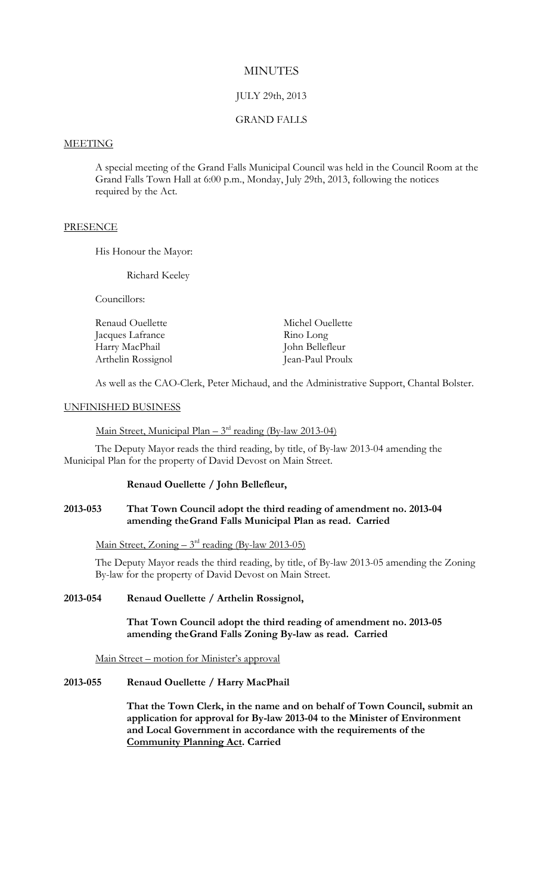# **MINUTES**

# JULY 29th, 2013

# GRAND FALLS

# **MEETING**

A special meeting of the Grand Falls Municipal Council was held in the Council Room at the Grand Falls Town Hall at 6:00 p.m., Monday, July 29th, 2013, following the notices required by the Act.

## **PRESENCE**

His Honour the Mayor:

Richard Keeley

Councillors:

| Renaud Ouellette   | Michel Ouellette |
|--------------------|------------------|
| Jacques Lafrance   | Rino Long        |
| Harry MacPhail     | John Bellefleur  |
| Arthelin Rossignol | Jean-Paul Proulx |

As well as the CAO-Clerk, Peter Michaud, and the Administrative Support, Chantal Bolster.

#### UNFINISHED BUSINESS

Main Street, Municipal Plan –  $3^{rd}$  reading (By-law 2013-04)

The Deputy Mayor reads the third reading, by title, of By-law 2013-04 amending the Municipal Plan for the property of David Devost on Main Street.

#### **Renaud Ouellette / John Bellefleur,**

# **2013-053 That Town Council adopt the third reading of amendment no. 2013-04 amending theGrand Falls Municipal Plan as read. Carried**

# Main Street, Zoning –  $3<sup>rd</sup>$  reading (By-law 2013-05)

The Deputy Mayor reads the third reading, by title, of By-law 2013-05 amending the Zoning By-law for the property of David Devost on Main Street.

### **2013-054 Renaud Ouellette / Arthelin Rossignol,**

**That Town Council adopt the third reading of amendment no. 2013-05 amending theGrand Falls Zoning By-law as read. Carried**

Main Street – motion for Minister's approval

#### **2013-055 Renaud Ouellette / Harry MacPhail**

**That the Town Clerk, in the name and on behalf of Town Council, submit an application for approval for By-law 2013-04 to the Minister of Environment and Local Government in accordance with the requirements of the Community Planning Act. Carried**